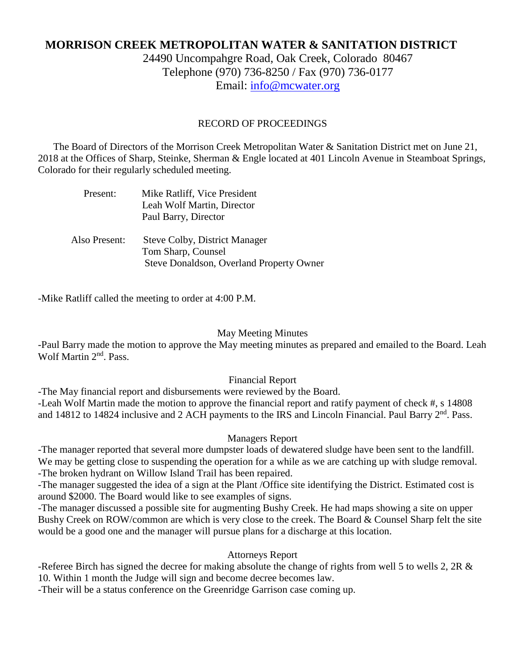# **MORRISON CREEK METROPOLITAN WATER & SANITATION DISTRICT**

24490 Uncompahgre Road, Oak Creek, Colorado 80467 Telephone (970) 736-8250 / Fax (970) 736-0177 Email: [info@mcwater.org](mailto:info@mcwater.org)

### RECORD OF PROCEEDINGS

 The Board of Directors of the Morrison Creek Metropolitan Water & Sanitation District met on June 21, 2018 at the Offices of Sharp, Steinke, Sherman & Engle located at 401 Lincoln Avenue in Steamboat Springs, Colorado for their regularly scheduled meeting.

| Present:      | Mike Ratliff, Vice President<br>Leah Wolf Martin, Director<br>Paul Barry, Director                     |
|---------------|--------------------------------------------------------------------------------------------------------|
| Also Present: | <b>Steve Colby, District Manager</b><br>Tom Sharp, Counsel<br>Steve Donaldson, Overland Property Owner |

-Mike Ratliff called the meeting to order at 4:00 P.M.

#### May Meeting Minutes

-Paul Barry made the motion to approve the May meeting minutes as prepared and emailed to the Board. Leah Wolf Martin 2<sup>nd</sup>. Pass.

#### Financial Report

-The May financial report and disbursements were reviewed by the Board.

-Leah Wolf Martin made the motion to approve the financial report and ratify payment of check #, s 14808 and 14812 to 14824 inclusive and 2 ACH payments to the IRS and Lincoln Financial. Paul Barry 2<sup>nd</sup>. Pass.

#### Managers Report

-The manager reported that several more dumpster loads of dewatered sludge have been sent to the landfill. We may be getting close to suspending the operation for a while as we are catching up with sludge removal. -The broken hydrant on Willow Island Trail has been repaired.

-The manager suggested the idea of a sign at the Plant /Office site identifying the District. Estimated cost is around \$2000. The Board would like to see examples of signs.

-The manager discussed a possible site for augmenting Bushy Creek. He had maps showing a site on upper Bushy Creek on ROW/common are which is very close to the creek. The Board & Counsel Sharp felt the site would be a good one and the manager will pursue plans for a discharge at this location.

#### Attorneys Report

-Referee Birch has signed the decree for making absolute the change of rights from well 5 to wells 2, 2R & 10. Within 1 month the Judge will sign and become decree becomes law.

-Their will be a status conference on the Greenridge Garrison case coming up.